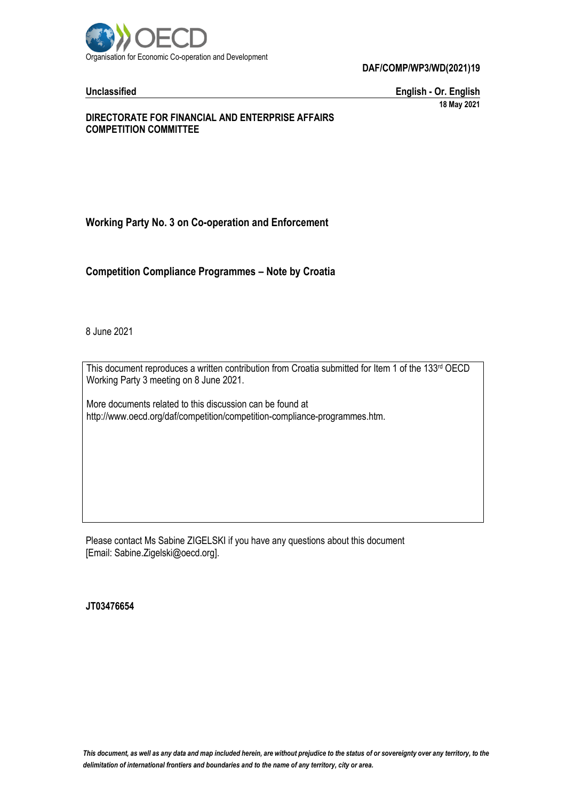

**Unclassified English - Or. English 18 May 2021**

#### **DIRECTORATE FOR FINANCIAL AND ENTERPRISE AFFAIRS COMPETITION COMMITTEE**

# **Working Party No. 3 on Co-operation and Enforcement**

**Competition Compliance Programmes – Note by Croatia**

8 June 2021

This document reproduces a written contribution from Croatia submitted for Item 1 of the 133rd OECD Working Party 3 meeting on 8 June 2021.

More documents related to this discussion can be found at http://www.oecd.org/daf/competition/competition-compliance-programmes.htm.

Please contact Ms Sabine ZIGELSKI if you have any questions about this document [Email: Sabine.Zigelski@oecd.org].

**JT03476654**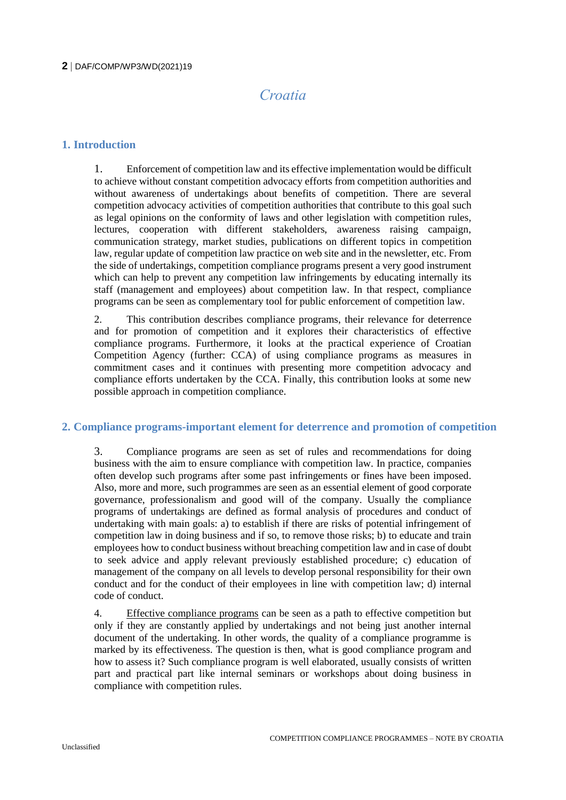# *Croatia*

# **1. Introduction**

1. Enforcement of competition law and its effective implementation would be difficult to achieve without constant competition advocacy efforts from competition authorities and without awareness of undertakings about benefits of competition. There are several competition advocacy activities of competition authorities that contribute to this goal such as legal opinions on the conformity of laws and other legislation with competition rules, lectures, cooperation with different stakeholders, awareness raising campaign, communication strategy, market studies, publications on different topics in competition law, regular update of competition law practice on web site and in the newsletter, etc. From the side of undertakings, competition compliance programs present a very good instrument which can help to prevent any competition law infringements by educating internally its staff (management and employees) about competition law. In that respect, compliance programs can be seen as complementary tool for public enforcement of competition law.

2. This contribution describes compliance programs, their relevance for deterrence and for promotion of competition and it explores their characteristics of effective compliance programs. Furthermore, it looks at the practical experience of Croatian Competition Agency (further: CCA) of using compliance programs as measures in commitment cases and it continues with presenting more competition advocacy and compliance efforts undertaken by the CCA. Finally, this contribution looks at some new possible approach in competition compliance.

# **2. Compliance programs-important element for deterrence and promotion of competition**

3. Compliance programs are seen as set of rules and recommendations for doing business with the aim to ensure compliance with competition law. In practice, companies often develop such programs after some past infringements or fines have been imposed. Also, more and more, such programmes are seen as an essential element of good corporate governance, professionalism and good will of the company. Usually the compliance programs of undertakings are defined as formal analysis of procedures and conduct of undertaking with main goals: a) to establish if there are risks of potential infringement of competition law in doing business and if so, to remove those risks; b) to educate and train employees how to conduct business without breaching competition law and in case of doubt to seek advice and apply relevant previously established procedure; c) education of management of the company on all levels to develop personal responsibility for their own conduct and for the conduct of their employees in line with competition law; d) internal code of conduct.

4. Effective compliance programs can be seen as a path to effective competition but only if they are constantly applied by undertakings and not being just another internal document of the undertaking. In other words, the quality of a compliance programme is marked by its effectiveness. The question is then, what is good compliance program and how to assess it? Such compliance program is well elaborated, usually consists of written part and practical part like internal seminars or workshops about doing business in compliance with competition rules.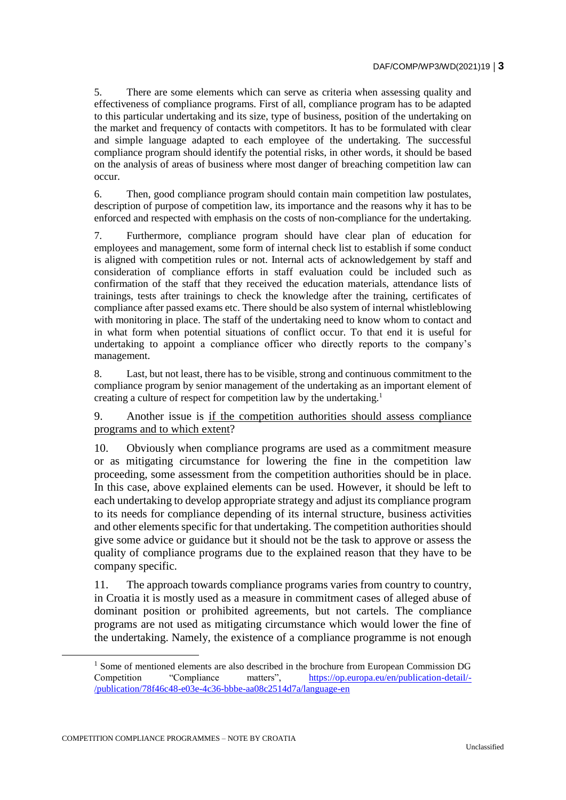5. There are some elements which can serve as criteria when assessing quality and effectiveness of compliance programs. First of all, compliance program has to be adapted to this particular undertaking and its size, type of business, position of the undertaking on the market and frequency of contacts with competitors. It has to be formulated with clear and simple language adapted to each employee of the undertaking. The successful compliance program should identify the potential risks, in other words, it should be based on the analysis of areas of business where most danger of breaching competition law can occur.

6. Then, good compliance program should contain main competition law postulates, description of purpose of competition law, its importance and the reasons why it has to be enforced and respected with emphasis on the costs of non-compliance for the undertaking.

7. Furthermore, compliance program should have clear plan of education for employees and management, some form of internal check list to establish if some conduct is aligned with competition rules or not. Internal acts of acknowledgement by staff and consideration of compliance efforts in staff evaluation could be included such as confirmation of the staff that they received the education materials, attendance lists of trainings, tests after trainings to check the knowledge after the training, certificates of compliance after passed exams etc. There should be also system of internal whistleblowing with monitoring in place. The staff of the undertaking need to know whom to contact and in what form when potential situations of conflict occur. To that end it is useful for undertaking to appoint a compliance officer who directly reports to the company's management.

8. Last, but not least, there has to be visible, strong and continuous commitment to the compliance program by senior management of the undertaking as an important element of creating a culture of respect for competition law by the undertaking.<sup>1</sup>

9. Another issue is if the competition authorities should assess compliance programs and to which extent?

10. Obviously when compliance programs are used as a commitment measure or as mitigating circumstance for lowering the fine in the competition law proceeding, some assessment from the competition authorities should be in place. In this case, above explained elements can be used. However, it should be left to each undertaking to develop appropriate strategy and adjust its compliance program to its needs for compliance depending of its internal structure, business activities and other elements specific for that undertaking. The competition authorities should give some advice or guidance but it should not be the task to approve or assess the quality of compliance programs due to the explained reason that they have to be company specific.

11. The approach towards compliance programs varies from country to country, in Croatia it is mostly used as a measure in commitment cases of alleged abuse of dominant position or prohibited agreements, but not cartels. The compliance programs are not used as mitigating circumstance which would lower the fine of the undertaking. Namely, the existence of a compliance programme is not enough

 $<sup>1</sup>$  Some of mentioned elements are also described in the brochure from European Commission DG</sup> Competition "Compliance matters", [https://op.europa.eu/en/publication-detail/-](https://op.europa.eu/en/publication-detail/-/publication/78f46c48-e03e-4c36-bbbe-aa08c2514d7a/language-en) [/publication/78f46c48-e03e-4c36-bbbe-aa08c2514d7a/language-en](https://op.europa.eu/en/publication-detail/-/publication/78f46c48-e03e-4c36-bbbe-aa08c2514d7a/language-en)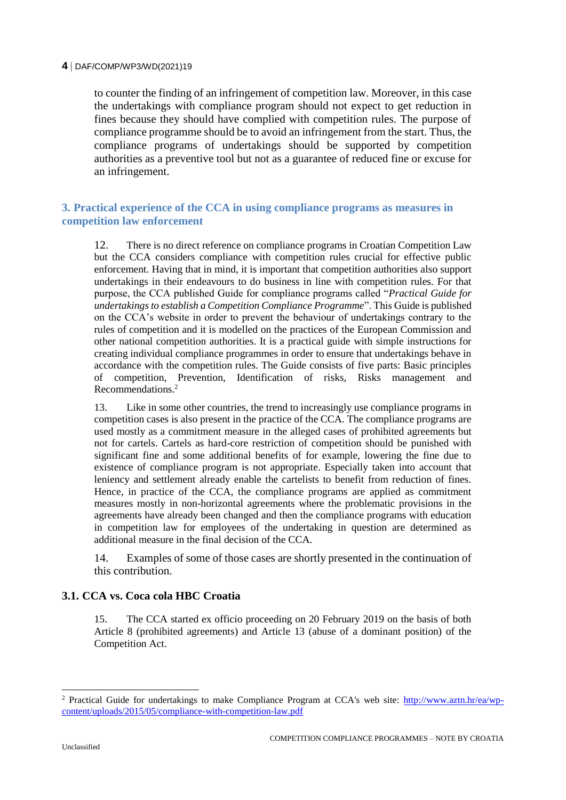to counter the finding of an infringement of competition law. Moreover, in this case the undertakings with compliance program should not expect to get reduction in fines because they should have complied with competition rules. The purpose of compliance programme should be to avoid an infringement from the start. Thus, the compliance programs of undertakings should be supported by competition authorities as a preventive tool but not as a guarantee of reduced fine or excuse for an infringement.

# **3. Practical experience of the CCA in using compliance programs as measures in competition law enforcement**

12. There is no direct reference on compliance programs in Croatian Competition Law but the CCA considers compliance with competition rules crucial for effective public enforcement. Having that in mind, it is important that competition authorities also support undertakings in their endeavours to do business in line with competition rules. For that purpose, the CCA published Guide for compliance programs called "*Practical Guide for undertakings to establish a Competition Compliance Programme*". This Guide is published on the CCA's website in order to prevent the behaviour of undertakings contrary to the rules of competition and it is modelled on the practices of the European Commission and other national competition authorities. It is a practical guide with simple instructions for creating individual compliance programmes in order to ensure that undertakings behave in accordance with the competition rules. The Guide consists of five parts: Basic principles of competition, Prevention, Identification of risks, Risks management and Recommendations.<sup>2</sup>

13. Like in some other countries, the trend to increasingly use compliance programs in competition cases is also present in the practice of the CCA. The compliance programs are used mostly as a commitment measure in the alleged cases of prohibited agreements but not for cartels. Cartels as hard-core restriction of competition should be punished with significant fine and some additional benefits of for example, lowering the fine due to existence of compliance program is not appropriate. Especially taken into account that leniency and settlement already enable the cartelists to benefit from reduction of fines. Hence, in practice of the CCA, the compliance programs are applied as commitment measures mostly in non-horizontal agreements where the problematic provisions in the agreements have already been changed and then the compliance programs with education in competition law for employees of the undertaking in question are determined as additional measure in the final decision of the CCA.

14. Examples of some of those cases are shortly presented in the continuation of this contribution.

# **3.1. CCA vs. Coca cola HBC Croatia**

15. The CCA started ex officio proceeding on 20 February 2019 on the basis of both Article 8 (prohibited agreements) and Article 13 (abuse of a dominant position) of the Competition Act.

<sup>2</sup> Practical Guide for undertakings to make Compliance Program at CCA's web site: [http://www.aztn.hr/ea/wp](http://www.aztn.hr/ea/wp-content/uploads/2015/05/compliance-with-competition-law.pdf)[content/uploads/2015/05/compliance-with-competition-law.pdf](http://www.aztn.hr/ea/wp-content/uploads/2015/05/compliance-with-competition-law.pdf)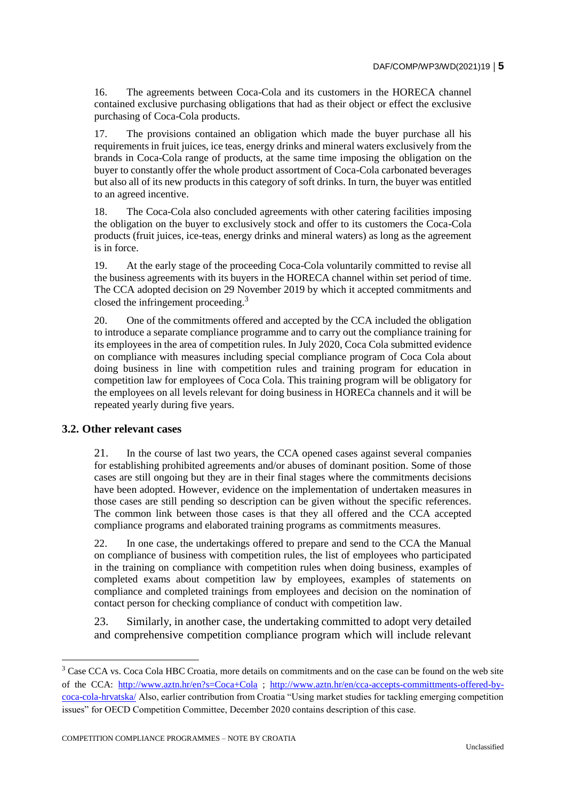16. The agreements between Coca-Cola and its customers in the HORECA channel contained exclusive purchasing obligations that had as their object or effect the exclusive purchasing of Coca-Cola products.

17. The provisions contained an obligation which made the buyer purchase all his requirements in fruit juices, ice teas, energy drinks and mineral waters exclusively from the brands in Coca-Cola range of products, at the same time imposing the obligation on the buyer to constantly offer the whole product assortment of Coca-Cola carbonated beverages but also all of its new products in this category of soft drinks. In turn, the buyer was entitled to an agreed incentive.

18. The Coca-Cola also concluded agreements with other catering facilities imposing the obligation on the buyer to exclusively stock and offer to its customers the Coca-Cola products (fruit juices, ice-teas, energy drinks and mineral waters) as long as the agreement is in force.

19. At the early stage of the proceeding Coca-Cola voluntarily committed to revise all the business agreements with its buyers in the HORECA channel within set period of time. The CCA adopted decision on 29 November 2019 by which it accepted commitments and closed the infringement proceeding.<sup>3</sup>

20. One of the commitments offered and accepted by the CCA included the obligation to introduce a separate compliance programme and to carry out the compliance training for its employees in the area of competition rules. In July 2020, Coca Cola submitted evidence on compliance with measures including special compliance program of Coca Cola about doing business in line with competition rules and training program for education in competition law for employees of Coca Cola. This training program will be obligatory for the employees on all levels relevant for doing business in HORECa channels and it will be repeated yearly during five years.

# **3.2. Other relevant cases**

21. In the course of last two years, the CCA opened cases against several companies for establishing prohibited agreements and/or abuses of dominant position. Some of those cases are still ongoing but they are in their final stages where the commitments decisions have been adopted. However, evidence on the implementation of undertaken measures in those cases are still pending so description can be given without the specific references. The common link between those cases is that they all offered and the CCA accepted compliance programs and elaborated training programs as commitments measures.

22. In one case, the undertakings offered to prepare and send to the CCA the Manual on compliance of business with competition rules, the list of employees who participated in the training on compliance with competition rules when doing business, examples of completed exams about competition law by employees, examples of statements on compliance and completed trainings from employees and decision on the nomination of contact person for checking compliance of conduct with competition law.

23. Similarly, in another case, the undertaking committed to adopt very detailed and comprehensive competition compliance program which will include relevant

<sup>3</sup> Case CCA vs. Coca Cola HBC Croatia*,* more details on commitments and on the case can be found on the web site of the CCA: <http://www.aztn.hr/en?s=Coca+Cola> ; [http://www.aztn.hr/en/cca-accepts-committments-offered-by](http://www.aztn.hr/en/cca-accepts-committments-offered-by-coca-cola-hrvatska/)[coca-cola-hrvatska/](http://www.aztn.hr/en/cca-accepts-committments-offered-by-coca-cola-hrvatska/) Also, earlier contribution from Croatia "Using market studies for tackling emerging competition issues" for OECD Competition Committee, December 2020 contains description of this case.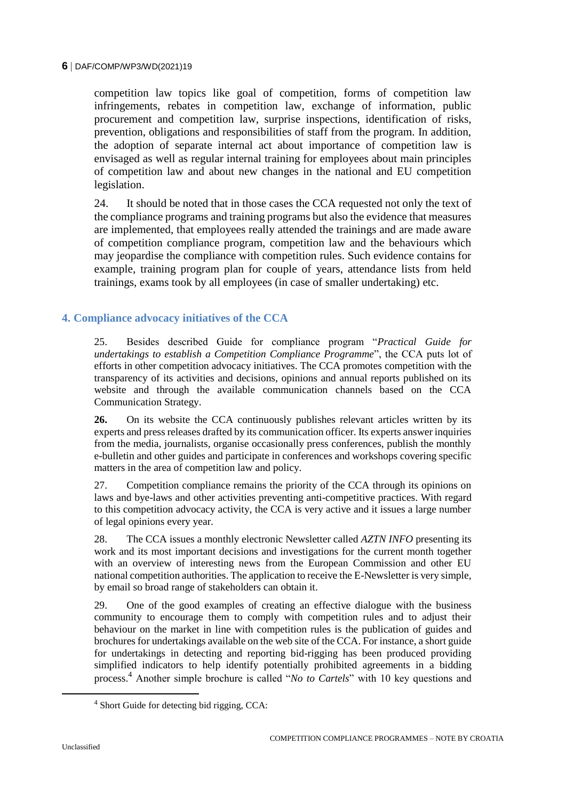competition law topics like goal of competition, forms of competition law infringements, rebates in competition law, exchange of information, public procurement and competition law, surprise inspections, identification of risks, prevention, obligations and responsibilities of staff from the program. In addition, the adoption of separate internal act about importance of competition law is envisaged as well as regular internal training for employees about main principles of competition law and about new changes in the national and EU competition legislation.

24. It should be noted that in those cases the CCA requested not only the text of the compliance programs and training programs but also the evidence that measures are implemented, that employees really attended the trainings and are made aware of competition compliance program, competition law and the behaviours which may jeopardise the compliance with competition rules. Such evidence contains for example, training program plan for couple of years, attendance lists from held trainings, exams took by all employees (in case of smaller undertaking) etc.

# **4. Compliance advocacy initiatives of the CCA**

25. Besides described Guide for compliance program "*Practical Guide for undertakings to establish a Competition Compliance Programme*", the CCA puts lot of efforts in other competition advocacy initiatives. The CCA promotes competition with the transparency of its activities and decisions, opinions and annual reports published on its website and through the available communication channels based on the CCA Communication Strategy.

**26.** On its website the CCA continuously publishes relevant articles written by its experts and press releases drafted by its communication officer. Its experts answer inquiries from the media, journalists, organise occasionally press conferences, publish the monthly e-bulletin and other guides and participate in conferences and workshops covering specific matters in the area of competition law and policy.

27. Competition compliance remains the priority of the CCA through its opinions on laws and bye-laws and other activities preventing anti-competitive practices. With regard to this competition advocacy activity, the CCA is very active and it issues a large number of legal opinions every year.

28. The CCA issues a monthly electronic Newsletter called *AZTN INFO* presenting its work and its most important decisions and investigations for the current month together with an overview of interesting news from the European Commission and other EU national competition authorities. The application to receive the E-Newsletter is very simple, by email so broad range of stakeholders can obtain it.

29. One of the good examples of creating an effective dialogue with the business community to encourage them to comply with competition rules and to adjust their behaviour on the market in line with competition rules is the publication of guides and brochures for undertakings available on the web site of the CCA. For instance, a short guide for undertakings in detecting and reporting bid-rigging has been produced providing simplified indicators to help identify potentially prohibited agreements in a bidding process.<sup>4</sup> Another simple brochure is called "*No to Cartels*" with 10 key questions and

<sup>4</sup> Short Guide for detecting bid rigging, CCA: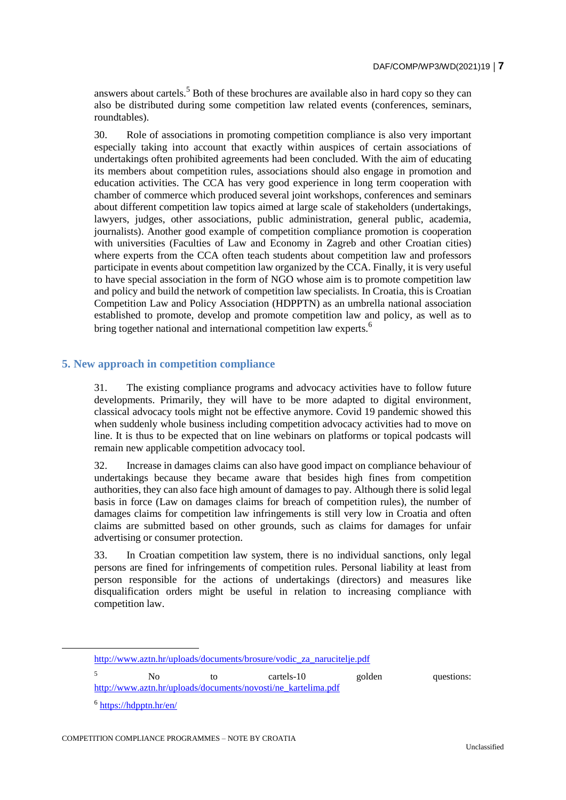answers about cartels.<sup>5</sup> Both of these brochures are available also in hard copy so they can also be distributed during some competition law related events (conferences, seminars, roundtables).

30. Role of associations in promoting competition compliance is also very important especially taking into account that exactly within auspices of certain associations of undertakings often prohibited agreements had been concluded. With the aim of educating its members about competition rules, associations should also engage in promotion and education activities. The CCA has very good experience in long term cooperation with chamber of commerce which produced several joint workshops, conferences and seminars about different competition law topics aimed at large scale of stakeholders (undertakings, lawyers, judges, other associations, public administration, general public, academia, journalists). Another good example of competition compliance promotion is cooperation with universities (Faculties of Law and Economy in Zagreb and other Croatian cities) where experts from the CCA often teach students about competition law and professors participate in events about competition law organized by the CCA. Finally, it is very useful to have special association in the form of NGO whose aim is to promote competition law and policy and build the network of competition law specialists. In Croatia, this is Croatian Competition Law and Policy Association (HDPPTN) as an umbrella national association established to promote, develop and promote competition law and policy, as well as to bring together national and international competition law experts.<sup>6</sup>

# **5. New approach in competition compliance**

31. The existing compliance programs and advocacy activities have to follow future developments. Primarily, they will have to be more adapted to digital environment, classical advocacy tools might not be effective anymore. Covid 19 pandemic showed this when suddenly whole business including competition advocacy activities had to move on line. It is thus to be expected that on line webinars on platforms or topical podcasts will remain new applicable competition advocacy tool.

32. Increase in damages claims can also have good impact on compliance behaviour of undertakings because they became aware that besides high fines from competition authorities, they can also face high amount of damages to pay. Although there is solid legal basis in force (Law on damages claims for breach of competition rules), the number of damages claims for competition law infringements is still very low in Croatia and often claims are submitted based on other grounds, such as claims for damages for unfair advertising or consumer protection.

33. In Croatian competition law system, there is no individual sanctions, only legal persons are fined for infringements of competition rules. Personal liability at least from person responsible for the actions of undertakings (directors) and measures like disqualification orders might be useful in relation to increasing compliance with competition law.

<sup>5</sup> No to cartels-10 golden questions: [http://www.aztn.hr/uploads/documents/novosti/ne\\_kartelima.pdf](http://www.aztn.hr/uploads/documents/novosti/ne_kartelima.pdf)

 $\overline{a}$ 

[http://www.aztn.hr/uploads/documents/brosure/vodic\\_za\\_narucitelje.pdf](http://www.aztn.hr/uploads/documents/brosure/vodic_za_narucitelje.pdf)

<sup>&</sup>lt;sup>6</sup> <https://hdpptn.hr/en/>